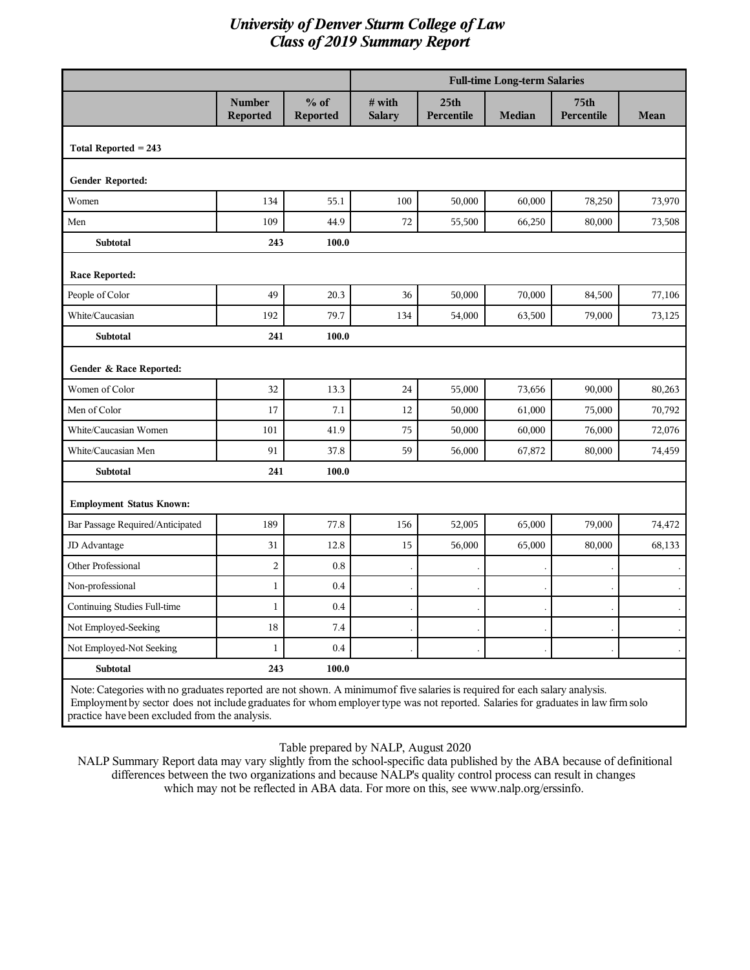|                                                                                                                             |                                  |                           |                         |                                | <b>Full-time Long-term Salaries</b> |                    |        |
|-----------------------------------------------------------------------------------------------------------------------------|----------------------------------|---------------------------|-------------------------|--------------------------------|-------------------------------------|--------------------|--------|
|                                                                                                                             | <b>Number</b><br><b>Reported</b> | $%$ of<br><b>Reported</b> | # with<br><b>Salary</b> | 25 <sub>th</sub><br>Percentile | <b>Median</b>                       | 75th<br>Percentile | Mean   |
| Total Reported $= 243$                                                                                                      |                                  |                           |                         |                                |                                     |                    |        |
| Gender Reported:                                                                                                            |                                  |                           |                         |                                |                                     |                    |        |
| Women                                                                                                                       | 134                              | 55.1                      | 100                     | 50,000                         | 60,000                              | 78,250             | 73,970 |
| Men                                                                                                                         | 109                              | 44.9                      | 72                      | 55,500                         | 66,250                              | 80,000             | 73,508 |
| <b>Subtotal</b>                                                                                                             | 243                              | 100.0                     |                         |                                |                                     |                    |        |
| <b>Race Reported:</b>                                                                                                       |                                  |                           |                         |                                |                                     |                    |        |
| People of Color                                                                                                             | 49                               | 20.3                      | 36                      | 50,000                         | 70,000                              | 84,500             | 77,106 |
| White/Caucasian                                                                                                             | 192                              | 79.7                      | 134                     | 54,000                         | 63,500                              | 79,000             | 73,125 |
| <b>Subtotal</b>                                                                                                             | 241                              | 100.0                     |                         |                                |                                     |                    |        |
| Gender & Race Reported:                                                                                                     |                                  |                           |                         |                                |                                     |                    |        |
| Women of Color                                                                                                              | 32                               | 13.3                      | 24                      | 55,000                         | 73,656                              | 90,000             | 80,263 |
| Men of Color                                                                                                                | 17                               | 7.1                       | 12                      | 50,000                         | 61,000                              | 75,000             | 70,792 |
| White/Caucasian Women                                                                                                       | 101                              | 41.9                      | 75                      | 50,000                         | 60,000                              | 76,000             | 72,076 |
| White/Caucasian Men                                                                                                         | 91                               | 37.8                      | 59                      | 56,000                         | 67,872                              | 80,000             | 74,459 |
| Subtotal                                                                                                                    | 241                              | 100.0                     |                         |                                |                                     |                    |        |
| <b>Employment Status Known:</b>                                                                                             |                                  |                           |                         |                                |                                     |                    |        |
| Bar Passage Required/Anticipated                                                                                            | 189                              | 77.8                      | 156                     | 52,005                         | 65,000                              | 79,000             | 74,472 |
| JD Advantage                                                                                                                | 31                               | 12.8                      | 15                      | 56,000                         | 65,000                              | 80,000             | 68,133 |
| Other Professional                                                                                                          | $\overline{c}$                   | 0.8                       |                         |                                |                                     |                    |        |
| Non-professional                                                                                                            | 1                                | 0.4                       |                         |                                |                                     |                    |        |
| Continuing Studies Full-time                                                                                                | $\mathbf{1}$                     | 0.4                       |                         |                                |                                     |                    |        |
| Not Employed-Seeking                                                                                                        | 18                               | 7.4                       |                         |                                |                                     |                    |        |
| Not Employed-Not Seeking                                                                                                    | $\mathbf{1}$                     | 0.4                       |                         |                                |                                     |                    |        |
| <b>Subtotal</b>                                                                                                             | 243                              | 100.0                     |                         |                                |                                     |                    |        |
| Note: Categories with no graduates reported are not shown. A minimum of five salaries is required for each salary analysis. |                                  |                           |                         |                                |                                     |                    |        |

Employment by sector does not include graduates for whom employer type was not reported. Salaries for graduates in law firm solo practice have been excluded from the analysis.

Table prepared by NALP, August 2020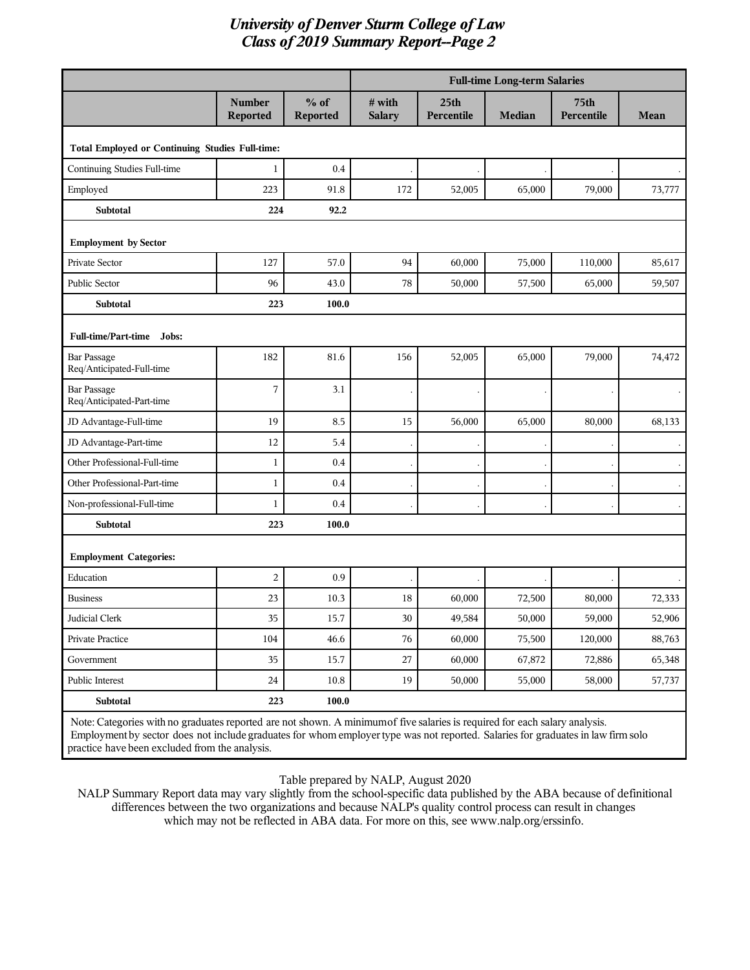|                                                                                                                             |                                  |                    | <b>Full-time Long-term Salaries</b> |                                |               |                                |        |
|-----------------------------------------------------------------------------------------------------------------------------|----------------------------------|--------------------|-------------------------------------|--------------------------------|---------------|--------------------------------|--------|
|                                                                                                                             | <b>Number</b><br><b>Reported</b> | $%$ of<br>Reported | $#$ with<br><b>Salary</b>           | 25 <sub>th</sub><br>Percentile | <b>Median</b> | 75 <sub>th</sub><br>Percentile | Mean   |
| Total Employed or Continuing Studies Full-time:                                                                             |                                  |                    |                                     |                                |               |                                |        |
| Continuing Studies Full-time                                                                                                | $\mathbf{1}$                     | 0.4                |                                     |                                |               |                                |        |
| Employed                                                                                                                    | 223                              | 91.8               | 172                                 | 52,005                         | 65,000        | 79,000                         | 73,777 |
| <b>Subtotal</b>                                                                                                             | 224                              | 92.2               |                                     |                                |               |                                |        |
| <b>Employment by Sector</b>                                                                                                 |                                  |                    |                                     |                                |               |                                |        |
| Private Sector                                                                                                              | 127                              | 57.0               | 94                                  | 60,000                         | 75,000        | 110,000                        | 85,617 |
| Public Sector                                                                                                               | 96                               | 43.0               | 78                                  | 50,000                         | 57,500        | 65,000                         | 59,507 |
| Subtotal                                                                                                                    | 223                              | 100.0              |                                     |                                |               |                                |        |
| Full-time/Part-time Jobs:                                                                                                   |                                  |                    |                                     |                                |               |                                |        |
| <b>Bar Passage</b><br>Req/Anticipated-Full-time                                                                             | 182                              | 81.6               | 156                                 | 52,005                         | 65,000        | 79,000                         | 74,472 |
| <b>Bar Passage</b><br>Req/Anticipated-Part-time                                                                             | 7                                | 3.1                |                                     |                                |               |                                |        |
| JD Advantage-Full-time                                                                                                      | 19                               | 8.5                | 15                                  | 56,000                         | 65,000        | 80,000                         | 68,133 |
| JD Advantage-Part-time                                                                                                      | 12                               | 5.4                |                                     |                                |               |                                |        |
| Other Professional-Full-time                                                                                                | $\mathbf{1}$                     | 0.4                |                                     |                                |               |                                |        |
| Other Professional-Part-time                                                                                                | $\mathbf{1}$                     | 0.4                |                                     |                                |               |                                |        |
| Non-professional-Full-time                                                                                                  | $\mathbf{1}$                     | 0.4                |                                     |                                |               |                                |        |
| Subtotal                                                                                                                    | 223                              | 100.0              |                                     |                                |               |                                |        |
| <b>Employment Categories:</b>                                                                                               |                                  |                    |                                     |                                |               |                                |        |
| Education                                                                                                                   | $\overline{2}$                   | 0.9                |                                     |                                |               |                                |        |
| <b>Business</b>                                                                                                             | 23                               | 10.3               | 18                                  | 60,000                         | 72,500        | 80,000                         | 72,333 |
| Judicial Clerk                                                                                                              | 35                               | 15.7               | 30                                  | 49,584                         | 50,000        | 59,000                         | 52,906 |
| Private Practice                                                                                                            | 104                              | 46.6               | 76                                  | 60,000                         | 75,500        | 120,000                        | 88,763 |
| Government                                                                                                                  | 35                               | 15.7               | 27                                  | 60,000                         | 67,872        | 72,886                         | 65,348 |
| Public Interest                                                                                                             | $24\,$                           | $10.8\,$           | 19                                  | 50,000                         | 55,000        | 58,000                         | 57,737 |
| Subtotal                                                                                                                    | 223                              | 100.0              |                                     |                                |               |                                |        |
| Note: Categories with no graduates reported are not shown. A minimum of five salaries is required for each salary analysis. |                                  |                    |                                     |                                |               |                                |        |

Employment by sector does not include graduates for whom employer type was not reported. Salaries for graduates in law firm solo practice have been excluded from the analysis.

Table prepared by NALP, August 2020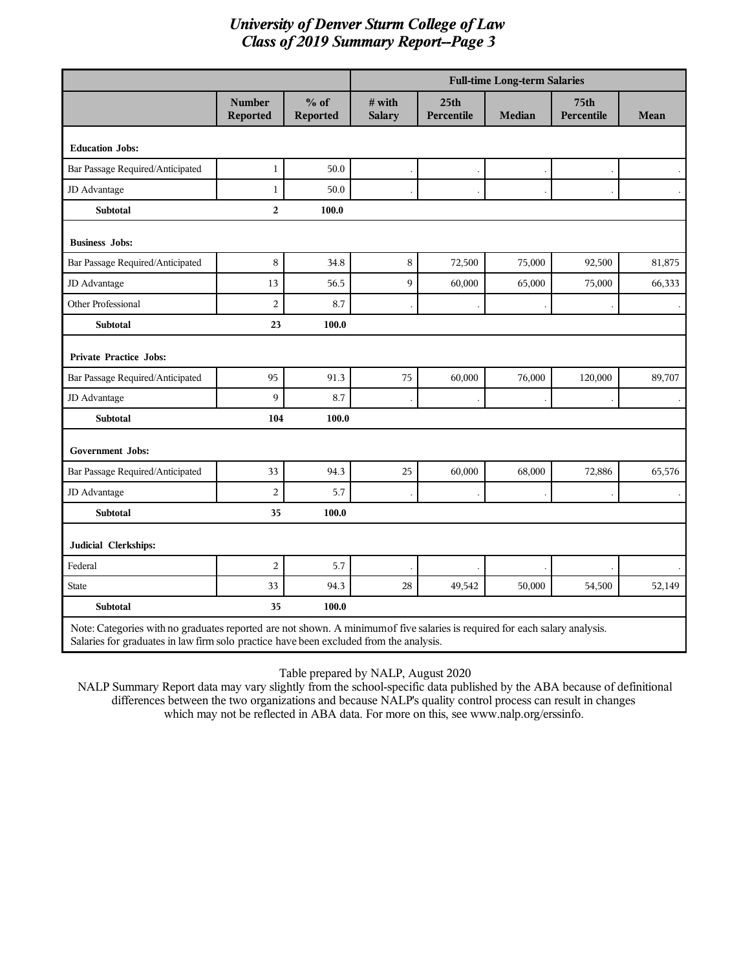|                                                                                                                             |                                  |                           |                            |                                | <b>Full-time Long-term Salaries</b> |                                |        |
|-----------------------------------------------------------------------------------------------------------------------------|----------------------------------|---------------------------|----------------------------|--------------------------------|-------------------------------------|--------------------------------|--------|
|                                                                                                                             | <b>Number</b><br><b>Reported</b> | $%$ of<br><b>Reported</b> | $\#$ with<br><b>Salary</b> | 25 <sub>th</sub><br>Percentile | <b>Median</b>                       | 75 <sub>th</sub><br>Percentile | Mean   |
| <b>Education Jobs:</b>                                                                                                      |                                  |                           |                            |                                |                                     |                                |        |
| Bar Passage Required/Anticipated                                                                                            | $\mathbf{1}$                     | 50.0                      |                            |                                |                                     |                                |        |
| JD Advantage                                                                                                                | $\mathbf{1}$                     | 50.0                      |                            |                                |                                     |                                |        |
| <b>Subtotal</b>                                                                                                             | $\overline{2}$                   | 100.0                     |                            |                                |                                     |                                |        |
| <b>Business Jobs:</b>                                                                                                       |                                  |                           |                            |                                |                                     |                                |        |
| Bar Passage Required/Anticipated                                                                                            | $\,8\,$                          | 34.8                      | $\,8\,$                    | 72,500                         | 75,000                              | 92,500                         | 81,875 |
| JD Advantage                                                                                                                | 13                               | 56.5                      | 9                          | 60,000                         | 65,000                              | 75,000                         | 66,333 |
| Other Professional                                                                                                          | $\overline{c}$                   | 8.7                       |                            |                                |                                     |                                |        |
| <b>Subtotal</b>                                                                                                             | 23                               | 100.0                     |                            |                                |                                     |                                |        |
| Private Practice Jobs:                                                                                                      |                                  |                           |                            |                                |                                     |                                |        |
| Bar Passage Required/Anticipated                                                                                            | 95                               | 91.3                      | 75                         | 60,000                         | 76,000                              | 120,000                        | 89,707 |
| JD Advantage                                                                                                                | 9                                | 8.7                       |                            |                                |                                     |                                |        |
| <b>Subtotal</b>                                                                                                             | 104                              | 100.0                     |                            |                                |                                     |                                |        |
| <b>Government Jobs:</b>                                                                                                     |                                  |                           |                            |                                |                                     |                                |        |
| Bar Passage Required/Anticipated                                                                                            | 33                               | 94.3                      | 25                         | 60,000                         | 68,000                              | 72,886                         | 65,576 |
| JD Advantage                                                                                                                | $\overline{c}$                   | 5.7                       |                            |                                |                                     |                                |        |
| <b>Subtotal</b>                                                                                                             | 35                               | 100.0                     |                            |                                |                                     |                                |        |
| Judicial Clerkships:                                                                                                        |                                  |                           |                            |                                |                                     |                                |        |
| Federal                                                                                                                     | $\overline{c}$                   | 5.7                       |                            |                                |                                     |                                |        |
| <b>State</b>                                                                                                                | 33                               | 94.3                      | 28                         | 49,542                         | 50,000                              | 54,500                         | 52,149 |
| <b>Subtotal</b>                                                                                                             | 35                               | 100.0                     |                            |                                |                                     |                                |        |
| Note: Categories with no graduates reported are not shown. A minimum of five salaries is required for each salary analysis. |                                  |                           |                            |                                |                                     |                                |        |

Salaries for graduates in law firm solo practice have been excluded from the analysis.

Table prepared by NALP, August 2020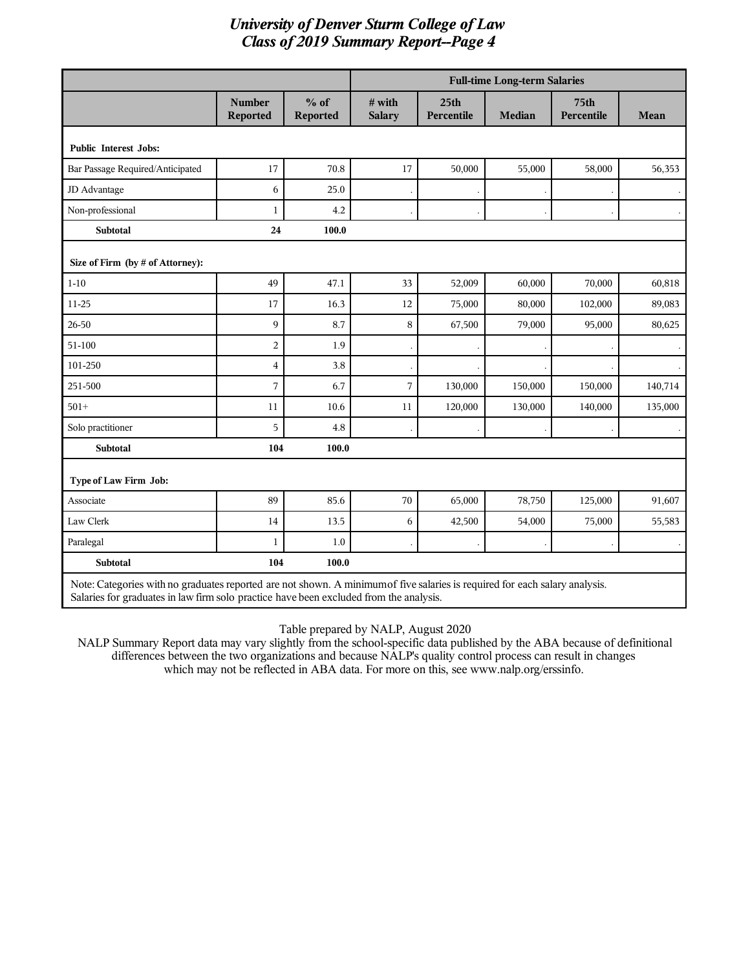|                                                                                                                                                                                                                       |                         |                           |                         |                                | <b>Full-time Long-term Salaries</b> |                    |         |
|-----------------------------------------------------------------------------------------------------------------------------------------------------------------------------------------------------------------------|-------------------------|---------------------------|-------------------------|--------------------------------|-------------------------------------|--------------------|---------|
|                                                                                                                                                                                                                       | Number<br>Reported      | $%$ of<br><b>Reported</b> | # with<br><b>Salary</b> | 25 <sub>th</sub><br>Percentile | <b>Median</b>                       | 75th<br>Percentile | Mean    |
| <b>Public Interest Jobs:</b>                                                                                                                                                                                          |                         |                           |                         |                                |                                     |                    |         |
| Bar Passage Required/Anticipated                                                                                                                                                                                      | 17                      | 70.8                      | 17                      | 50,000                         | 55,000                              | 58,000             | 56,353  |
| JD Advantage                                                                                                                                                                                                          | 6                       | 25.0                      |                         |                                |                                     |                    |         |
| Non-professional                                                                                                                                                                                                      | $\mathbf{1}$            | 4.2                       |                         |                                |                                     |                    |         |
| <b>Subtotal</b>                                                                                                                                                                                                       | 24                      | 100.0                     |                         |                                |                                     |                    |         |
| Size of Firm (by # of Attorney):                                                                                                                                                                                      |                         |                           |                         |                                |                                     |                    |         |
| $1 - 10$                                                                                                                                                                                                              | 49                      | 47.1                      | 33                      | 52,009                         | 60,000                              | 70,000             | 60,818  |
| 11-25                                                                                                                                                                                                                 | 17                      | 16.3                      | 12                      | 75,000                         | 80,000                              | 102,000            | 89,083  |
| 26-50                                                                                                                                                                                                                 | 9                       | 8.7                       | 8                       | 67,500                         | 79,000                              | 95,000             | 80,625  |
| 51-100                                                                                                                                                                                                                | 2                       | 1.9                       |                         |                                |                                     |                    |         |
| 101-250                                                                                                                                                                                                               | $\overline{\mathbf{4}}$ | 3.8                       |                         |                                |                                     |                    |         |
| 251-500                                                                                                                                                                                                               | 7                       | 6.7                       | 7                       | 130,000                        | 150,000                             | 150,000            | 140,714 |
| $501 +$                                                                                                                                                                                                               | 11                      | 10.6                      | 11                      | 120,000                        | 130,000                             | 140,000            | 135,000 |
| Solo practitioner                                                                                                                                                                                                     | 5                       | 4.8                       |                         |                                |                                     |                    |         |
| <b>Subtotal</b>                                                                                                                                                                                                       | 104                     | 100.0                     |                         |                                |                                     |                    |         |
| Type of Law Firm Job:                                                                                                                                                                                                 |                         |                           |                         |                                |                                     |                    |         |
| Associate                                                                                                                                                                                                             | 89                      | 85.6                      | 70                      | 65,000                         | 78,750                              | 125,000            | 91,607  |
| Law Clerk                                                                                                                                                                                                             | 14                      | 13.5                      | 6                       | 42,500                         | 54,000                              | 75,000             | 55,583  |
| Paralegal                                                                                                                                                                                                             | $\mathbf{1}$            | 1.0                       |                         |                                |                                     |                    |         |
| Subtotal                                                                                                                                                                                                              | 104                     | 100.0                     |                         |                                |                                     |                    |         |
| Note: Categories with no graduates reported are not shown. A minimum of five salaries is required for each salary analysis.<br>Salaries for graduates in law firm solo practice have been excluded from the analysis. |                         |                           |                         |                                |                                     |                    |         |

Table prepared by NALP, August 2020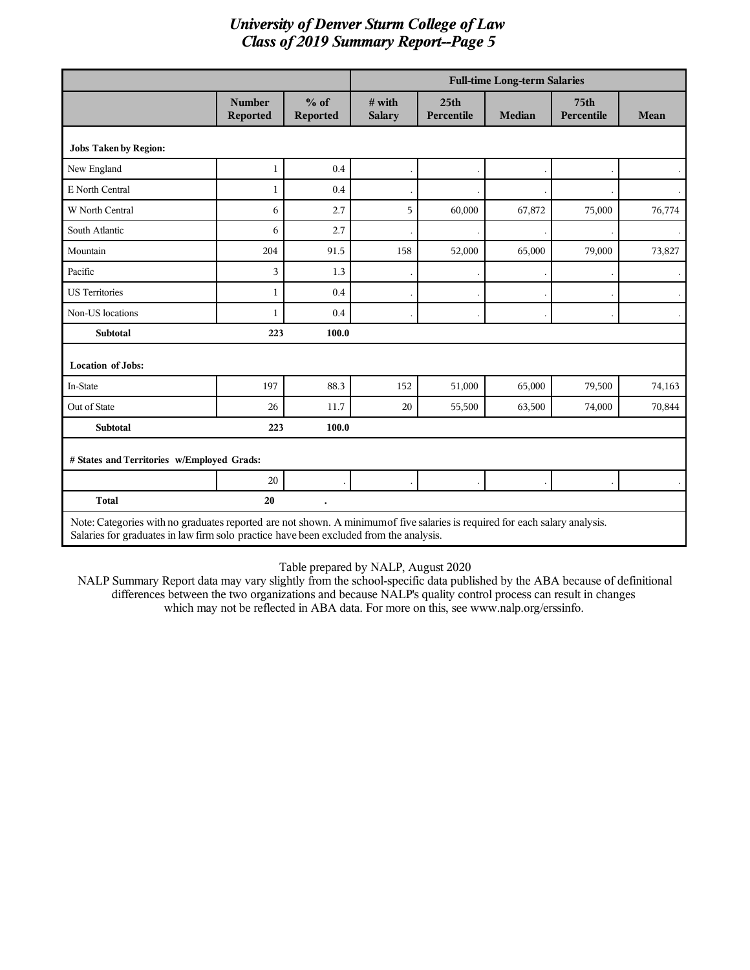|                                                                                                                                                                                                                       |                                  |                    |                         |                                | <b>Full-time Long-term Salaries</b> |                                |              |
|-----------------------------------------------------------------------------------------------------------------------------------------------------------------------------------------------------------------------|----------------------------------|--------------------|-------------------------|--------------------------------|-------------------------------------|--------------------------------|--------------|
|                                                                                                                                                                                                                       | <b>Number</b><br><b>Reported</b> | $%$ of<br>Reported | # with<br><b>Salary</b> | 25 <sub>th</sub><br>Percentile | <b>Median</b>                       | 75 <sub>th</sub><br>Percentile | <b>Mean</b>  |
| <b>Jobs Taken by Region:</b>                                                                                                                                                                                          |                                  |                    |                         |                                |                                     |                                |              |
| New England                                                                                                                                                                                                           | 1                                | 0.4                |                         |                                |                                     |                                | $\mathbf{r}$ |
| E North Central                                                                                                                                                                                                       | 1                                | 0.4                |                         |                                |                                     |                                |              |
| W North Central                                                                                                                                                                                                       | 6                                | 2.7                | 5                       | 60,000                         | 67,872                              | 75,000                         | 76,774       |
| South Atlantic                                                                                                                                                                                                        | 6                                | 2.7                |                         |                                |                                     |                                |              |
| Mountain                                                                                                                                                                                                              | 204                              | 91.5               | 158                     | 52,000                         | 65,000                              | 79,000                         | 73,827       |
| Pacific                                                                                                                                                                                                               | 3                                | 1.3                |                         |                                |                                     |                                |              |
| <b>US Territories</b>                                                                                                                                                                                                 | 1                                | 0.4                |                         |                                |                                     |                                |              |
| Non-US locations                                                                                                                                                                                                      | 1                                | 0.4                |                         |                                |                                     |                                |              |
| <b>Subtotal</b>                                                                                                                                                                                                       | 223                              | 100.0              |                         |                                |                                     |                                |              |
| <b>Location of Jobs:</b>                                                                                                                                                                                              |                                  |                    |                         |                                |                                     |                                |              |
| In-State                                                                                                                                                                                                              | 197                              | 88.3               | 152                     | 51,000                         | 65,000                              | 79,500                         | 74,163       |
| Out of State                                                                                                                                                                                                          | 26                               | 11.7               | 20                      | 55,500                         | 63,500                              | 74,000                         | 70,844       |
| <b>Subtotal</b>                                                                                                                                                                                                       | 223                              | 100.0              |                         |                                |                                     |                                |              |
| # States and Territories w/Employed Grads:                                                                                                                                                                            |                                  |                    |                         |                                |                                     |                                |              |
|                                                                                                                                                                                                                       | 20                               |                    |                         |                                |                                     |                                |              |
| <b>Total</b>                                                                                                                                                                                                          | 20                               |                    |                         |                                |                                     |                                |              |
| Note: Categories with no graduates reported are not shown. A minimum of five salaries is required for each salary analysis.<br>Salaries for graduates in law firm solo practice have been excluded from the analysis. |                                  |                    |                         |                                |                                     |                                |              |

Table prepared by NALP, August 2020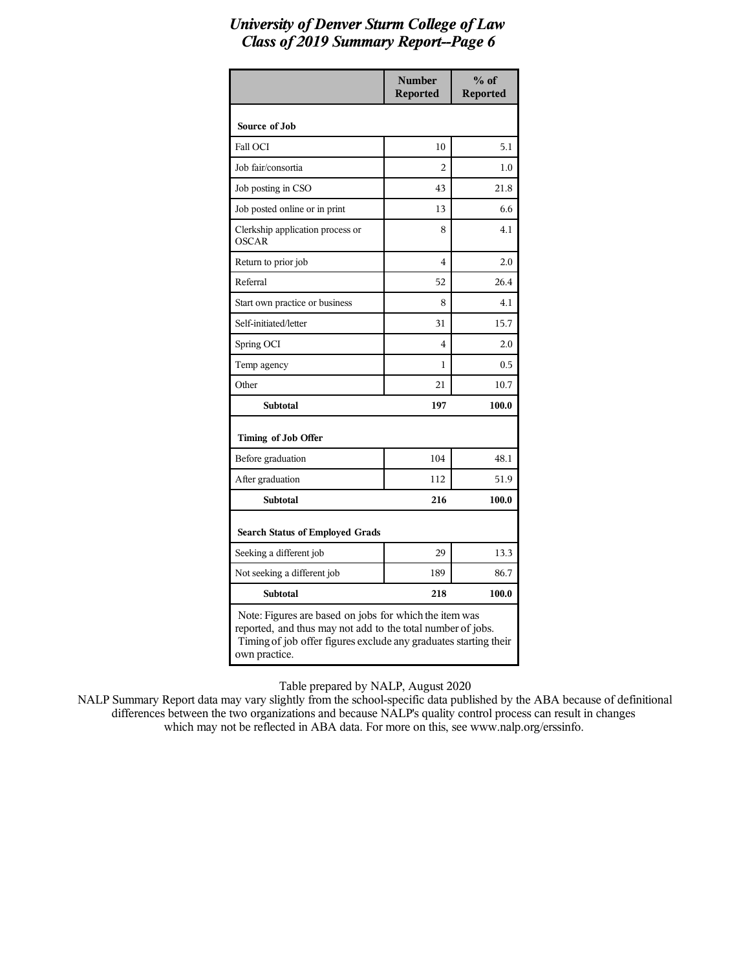|                                                                                                                                                                                                            | <b>Number</b><br><b>Reported</b> | $%$ of<br><b>Reported</b> |
|------------------------------------------------------------------------------------------------------------------------------------------------------------------------------------------------------------|----------------------------------|---------------------------|
| Source of Job                                                                                                                                                                                              |                                  |                           |
| Fall OCI                                                                                                                                                                                                   | 10                               | 5.1                       |
| Job fair/consortia                                                                                                                                                                                         | $\overline{c}$                   | 1.0                       |
| Job posting in CSO                                                                                                                                                                                         | 43                               | 21.8                      |
| Job posted online or in print                                                                                                                                                                              | 13                               | 6.6                       |
| Clerkship application process or<br><b>OSCAR</b>                                                                                                                                                           | 8                                | 4.1                       |
| Return to prior job                                                                                                                                                                                        | 4                                | 2.0                       |
| Referral                                                                                                                                                                                                   | 52                               | 26.4                      |
| Start own practice or business                                                                                                                                                                             | 8                                | 4.1                       |
| Self-initiated/letter                                                                                                                                                                                      | 31                               | 15.7                      |
| Spring OCI                                                                                                                                                                                                 | 4                                | 2.0                       |
| Temp agency                                                                                                                                                                                                | 1                                | 0.5                       |
| Other                                                                                                                                                                                                      | 21                               | 10.7                      |
| <b>Subtotal</b>                                                                                                                                                                                            | 197                              | 100.0                     |
| Timing of Job Offer                                                                                                                                                                                        |                                  |                           |
| Before graduation                                                                                                                                                                                          | 104                              | 48.1                      |
| After graduation                                                                                                                                                                                           | 112                              | 51.9                      |
| <b>Subtotal</b>                                                                                                                                                                                            | 216                              | 100.0                     |
| <b>Search Status of Employed Grads</b>                                                                                                                                                                     |                                  |                           |
| Seeking a different job                                                                                                                                                                                    | 29                               | 13.3                      |
| Not seeking a different job                                                                                                                                                                                | 189                              | 86.7                      |
| <b>Subtotal</b>                                                                                                                                                                                            | 218                              | 100.0                     |
| Note: Figures are based on jobs for which the item was<br>reported, and thus may not add to the total number of jobs.<br>Timing of job offer figures exclude any graduates starting their<br>own practice. |                                  |                           |

Table prepared by NALP, August 2020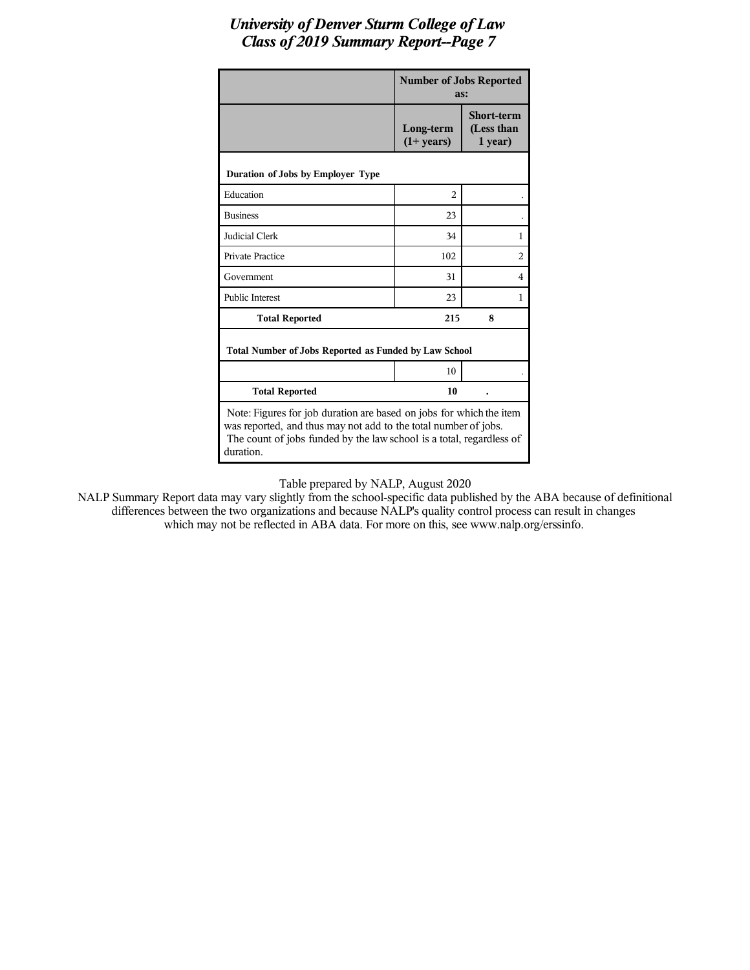|                                                                                                                                                                                                                             | <b>Number of Jobs Reported</b><br>as: |                                            |
|-----------------------------------------------------------------------------------------------------------------------------------------------------------------------------------------------------------------------------|---------------------------------------|--------------------------------------------|
|                                                                                                                                                                                                                             | Long-term<br>$(1+ years)$             | <b>Short-term</b><br>(Less than<br>1 year) |
| Duration of Jobs by Employer Type                                                                                                                                                                                           |                                       |                                            |
| Education                                                                                                                                                                                                                   | $\overline{c}$                        |                                            |
| <b>Business</b>                                                                                                                                                                                                             | 23                                    |                                            |
| Judicial Clerk                                                                                                                                                                                                              | 34                                    | 1                                          |
| <b>Private Practice</b>                                                                                                                                                                                                     | 102                                   | $\overline{c}$                             |
| Government                                                                                                                                                                                                                  | 31                                    | 4                                          |
| <b>Public Interest</b>                                                                                                                                                                                                      | 23                                    | 1                                          |
| <b>Total Reported</b>                                                                                                                                                                                                       | 215                                   | 8                                          |
| Total Number of Jobs Reported as Funded by Law School                                                                                                                                                                       |                                       |                                            |
|                                                                                                                                                                                                                             | 10                                    |                                            |
| <b>Total Reported</b>                                                                                                                                                                                                       | 10                                    |                                            |
| Note: Figures for job duration are based on jobs for which the item<br>was reported, and thus may not add to the total number of jobs.<br>The count of jobs funded by the law school is a total, regardless of<br>duration. |                                       |                                            |

Table prepared by NALP, August 2020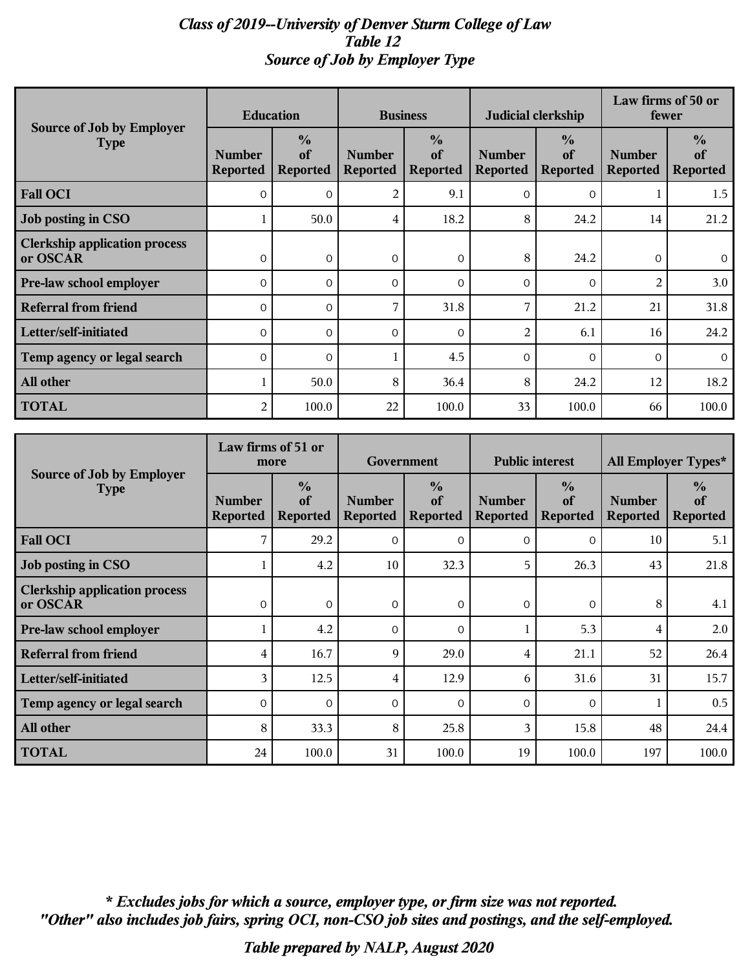# *Class of 2019--University of Denver Sturm College of Law Table 12 Source of Job by Employer Type*

| Source of Job by Employer                        | <b>Education</b>                 |                                        | <b>Business</b>                  |                                        | Judicial clerkship               |                                        | Law firms of 50 or<br>fewer      |                                        |
|--------------------------------------------------|----------------------------------|----------------------------------------|----------------------------------|----------------------------------------|----------------------------------|----------------------------------------|----------------------------------|----------------------------------------|
| <b>Type</b>                                      | <b>Number</b><br><b>Reported</b> | $\frac{0}{0}$<br>of<br><b>Reported</b> | <b>Number</b><br><b>Reported</b> | $\frac{0}{0}$<br>of<br><b>Reported</b> | <b>Number</b><br><b>Reported</b> | $\frac{6}{9}$<br>of<br><b>Reported</b> | <b>Number</b><br><b>Reported</b> | $\frac{6}{6}$<br>of<br><b>Reported</b> |
| <b>Fall OCI</b>                                  | $\Omega$                         | $\Omega$                               | 2                                | 9.1                                    | $\mathbf{0}$                     | $\overline{0}$                         |                                  | 1.5                                    |
| Job posting in CSO                               |                                  | 50.0                                   | 4                                | 18.2                                   | 8                                | 24.2                                   | 14                               | 21.2                                   |
| <b>Clerkship application process</b><br>or OSCAR | $\Omega$                         | $\mathbf{O}$                           | $\mathbf{O}$                     | 0                                      | 8                                | 24.2                                   | $\mathbf{O}$                     | $\overline{0}$                         |
| Pre-law school employer                          | $\Omega$                         | $\Omega$                               | $\Omega$                         | $\Omega$                               | $\Omega$                         | $\Omega$                               | $\overline{2}$                   | 3.0                                    |
| <b>Referral from friend</b>                      | $\overline{0}$                   | $\mathbf{O}$                           | 7                                | 31.8                                   | 7                                | 21.2                                   | 21                               | 31.8                                   |
| Letter/self-initiated                            | $\mathbf{O}$                     | $\mathbf{O}$                           | 0                                | $\mathbf{O}$                           | $\overline{2}$                   | 6.1                                    | 16                               | 24.2                                   |
| Temp agency or legal search                      | $\Omega$                         | $\Omega$                               |                                  | 4.5                                    | $\Omega$                         | $\Omega$                               | $\Omega$                         | $\Omega$                               |
| All other                                        |                                  | 50.0                                   | 8                                | 36.4                                   | 8                                | 24.2                                   | 12                               | 18.2                                   |
| <b>TOTAL</b>                                     | 2                                | 100.0                                  | 22                               | 100.0                                  | 33                               | 100.0                                  | 66                               | 100.0                                  |

|                                                  | Law firms of 51 or<br>more       |                                        | Government                       |                                        | <b>Public interest</b>           |                                        | All Employer Types*              |                                        |
|--------------------------------------------------|----------------------------------|----------------------------------------|----------------------------------|----------------------------------------|----------------------------------|----------------------------------------|----------------------------------|----------------------------------------|
| Source of Job by Employer<br><b>Type</b>         | <b>Number</b><br><b>Reported</b> | $\frac{0}{0}$<br>of<br><b>Reported</b> | <b>Number</b><br><b>Reported</b> | $\frac{0}{0}$<br>of<br><b>Reported</b> | <b>Number</b><br><b>Reported</b> | $\frac{0}{0}$<br>of<br><b>Reported</b> | <b>Number</b><br><b>Reported</b> | $\frac{0}{0}$<br>of<br><b>Reported</b> |
| <b>Fall OCI</b>                                  | 7                                | 29.2                                   | $\mathbf{O}$                     | $\mathbf 0$                            | $\Omega$                         | $\mathbf 0$                            | 10                               | 5.1                                    |
| Job posting in CSO                               |                                  | 4.2                                    | 10                               | 32.3                                   | 5                                | 26.3                                   | 43                               | 21.8                                   |
| <b>Clerkship application process</b><br>or OSCAR | $\Omega$                         | $\Omega$                               | $\mathbf{O}$                     | $\mathbf{0}$                           | $\mathbf{0}$                     | $\Omega$                               | 8                                | 4.1                                    |
| <b>Pre-law school employer</b>                   |                                  | 4.2                                    | $\Omega$                         | $\Omega$                               |                                  | 5.3                                    | 4                                | 2.0                                    |
| <b>Referral from friend</b>                      | 4                                | 16.7                                   | 9                                | 29.0                                   | 4                                | 21.1                                   | 52                               | 26.4                                   |
| Letter/self-initiated                            | 3                                | 12.5                                   | 4                                | 12.9                                   | 6                                | 31.6                                   | 31                               | 15.7                                   |
| Temp agency or legal search                      | $\Omega$                         | $\Omega$                               | $\Omega$                         | $\Omega$                               | $\Omega$                         | $\Omega$                               |                                  | 0.5                                    |
| All other                                        | 8                                | 33.3                                   | 8                                | 25.8                                   | 3                                | 15.8                                   | 48                               | 24.4                                   |
| <b>TOTAL</b>                                     | 24                               | 100.0                                  | 31                               | 100.0                                  | 19                               | 100.0                                  | 197                              | 100.0                                  |

*"Other" also includes job fairs, spring OCI, non-CSO job sites and postings, and the self-employed. \* Excludes jobs for which a source, employer type, or firm size was not reported.*

*Table prepared by NALP, August 2020*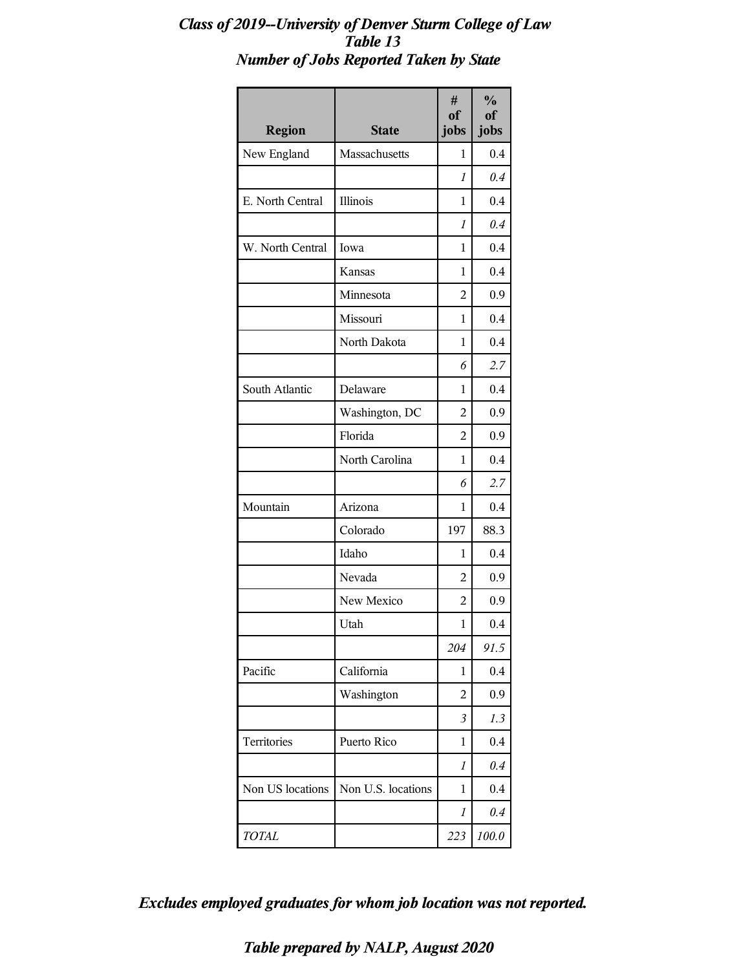# *Class of 2019--University of Denver Sturm College of Law Table 13 Number of Jobs Reported Taken by State*

| <b>Region</b>    | <b>State</b>       | #<br>of<br>jobs | $\frac{1}{2}$<br>of<br>jobs |
|------------------|--------------------|-----------------|-----------------------------|
| New England      | Massachusetts      | 1               | 0.4                         |
|                  |                    | 1               | 0.4                         |
| E. North Central | Illinois           | 1               | 0.4                         |
|                  |                    | 1               | 0.4                         |
| W. North Central | Iowa               | 1               | 0.4                         |
|                  | Kansas             | 1               | 0.4                         |
|                  | Minnesota          | $\overline{2}$  | 0.9                         |
|                  | Missouri           | 1               | 0.4                         |
|                  | North Dakota       | 1               | 0.4                         |
|                  |                    | 6               | 2.7                         |
| South Atlantic   | Delaware           | 1               | 0.4                         |
|                  | Washington, DC     | $\overline{2}$  | 0.9                         |
|                  | Florida            | $\overline{2}$  | 0.9                         |
|                  | North Carolina     | 1               | 0.4                         |
|                  |                    | 6               | 2.7                         |
| Mountain         | Arizona            | 1               | 0.4                         |
|                  | Colorado           | 197             | 88.3                        |
|                  | Idaho              | 1               | 0.4                         |
|                  | Nevada             | 2               | 0.9                         |
|                  | New Mexico         | 2               | 0.9                         |
|                  | Utah               | 1               | 0.4                         |
|                  |                    | 204             | 91.5                        |
| Pacific          | California         | 1               | 0.4                         |
|                  | Washington         | 2               | 0.9                         |
|                  |                    | $\mathfrak{Z}$  | 1.3                         |
| Territories      | Puerto Rico        | 1               | 0.4                         |
|                  |                    | 1               | 0.4                         |
| Non US locations | Non U.S. locations | 1               | 0.4                         |
|                  |                    | 1               | 0.4                         |
| TOTAL            |                    | 223             | 100.0                       |

*Excludes employed graduates for whom job location was not reported.*

*Table prepared by NALP, August 2020*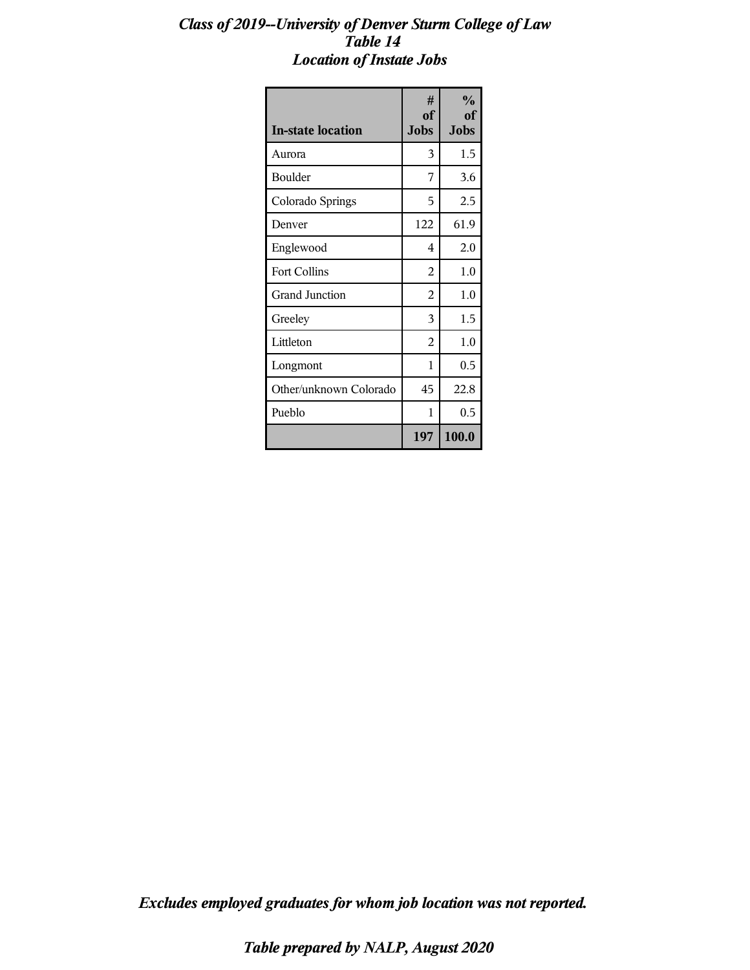#### *Class of 2019--University of Denver Sturm College of Law Table 14 Location of Instate Jobs*

| <b>In-state location</b> | #<br><sub>of</sub><br><b>Jobs</b> | $\frac{0}{0}$<br>оf<br>Jobs |
|--------------------------|-----------------------------------|-----------------------------|
| Aurora                   | 3                                 | 1.5                         |
| <b>Boulder</b>           | 7                                 | 3.6                         |
| Colorado Springs         | 5                                 | 2.5                         |
| Denver                   | 122                               | 61.9                        |
| Englewood                | 4                                 | 2.0                         |
| Fort Collins             | $\overline{2}$                    | 1.0                         |
| <b>Grand Junction</b>    | 2                                 | 1.0                         |
| Greeley                  | 3                                 | 1.5                         |
| Littleton                | $\overline{2}$                    | 1.0                         |
| Longmont                 | 1                                 | 0.5                         |
| Other/unknown Colorado   | 45                                | 22.8                        |
| Pueblo                   | 1                                 | 0.5                         |
|                          | 197                               | 100.0                       |

*Excludes employed graduates for whom job location was not reported.*